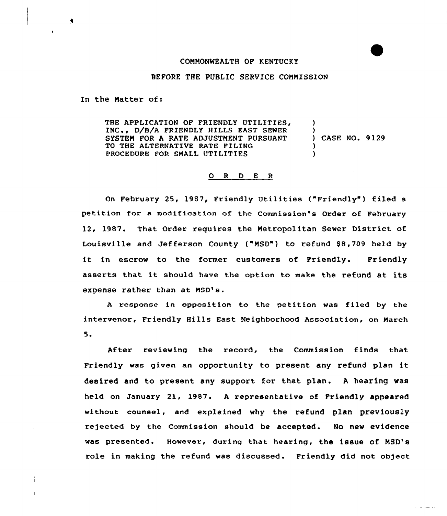## COMMONWEALTH OF KENTUCKY

## BEFORE THE PUBLIC SERVICE COMMISSION

In the Matter of:

THE APPLICATION OF FRIENDLY UTILITIES, D/B/A FRIENDLY HILLS EAST SEWER SYSTEM FOR A RATE ADJUSTMENT PURSUANT TO THE ALTERNATIVE RATE FILING PROCEDURE FOR SMALL UTILITIES ) ) ) CASE NO. 9129 ) )

## 0 R <sup>D</sup> E <sup>R</sup>

On February 25, 1987, Friendly Utilities ("Friendly") filed a petition for a modification of the Commission's Order of February 12, 1987. That Order requires the Metropolitan Sewer District of Louisville and Jefferson County ("MSD") to refund \$8,709 held by it in escrow to the former customers of Friendly. Friendly asserts that it should have the option to make the refund at its expense rather than at MSD's.

<sup>A</sup> response in opposition to the petition was filed by the intervenor, Friendly Hills East Neighborhood Association, on March 5.

After reviewing the record, the Commission finds that Friendly was given an opportunity to present any refund plan it desired and to present any support for that plan. <sup>A</sup> hearing was held on January 21, 1987. <sup>A</sup> representative of Friendly appeared without counsel, and explained why the refund plan previously rejected by the Commission should be accepted. No new evidence was presented. However, during that hearing, the issue of MSD's role in making the refund was discussed . Friendly did not object